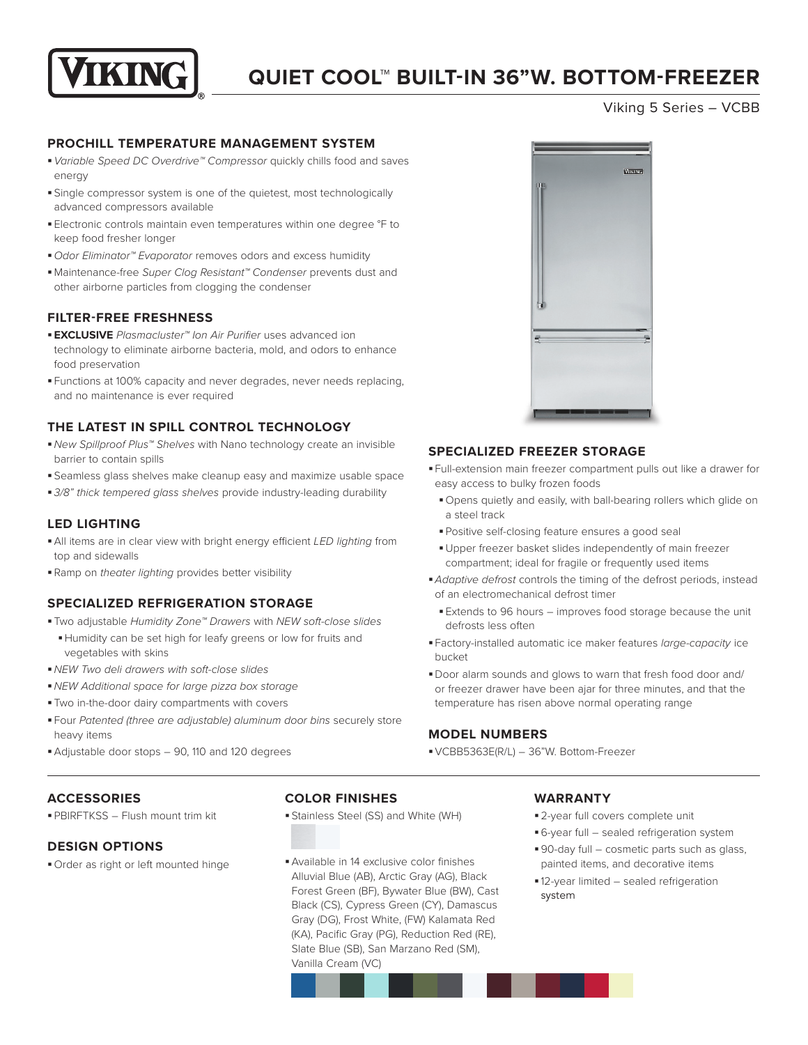

# **QUIET COOL™ BUILT-IN 36"W. BOTTOM-FREEZER**

Viking 5 Series – VCBB

# **PROCHILL TEMPERATURE MANAGEMENT SYSTEM**

- §*Variable Speed DC Overdrive™ Compressor* quickly chills food and saves energy
- § Single compressor system is one of the quietest, most technologically advanced compressors available
- § Electronic controls maintain even temperatures within one degree °F to keep food fresher longer
- § *Odor Eliminator™ Evaporator* removes odors and excess humidity
- §Maintenance-free *Super Clog Resistant™ Condenser* prevents dust and other airborne particles from clogging the condenser

## **FILTER-FREE FRESHNESS**

- § **EXCLUSIVE** *Plasmacluster™ Ion Air Purifier* uses advanced ion technology to eliminate airborne bacteria, mold, and odors to enhance food preservation
- § Functions at 100% capacity and never degrades, never needs replacing, and no maintenance is ever required

# **THE LATEST IN SPILL CONTROL TECHNOLOGY**

- §*New Spillproof Plus™ Shelves* with Nano technology create an invisible barrier to contain spills
- § Seamless glass shelves make cleanup easy and maximize usable space
- § *3/8" thick tempered glass shelves* provide industry-leading durability

### **LED LIGHTING**

**ACCESSORIES**

**DESIGN OPTIONS**

§ PBIRFTKSS – Flush mount trim kit

§ Order as right or left mounted hinge

- §All items are in clear view with bright energy efficient *LED lighting* from top and sidewalls
- § Ramp on *theater lighting* provides better visibility

## **SPECIALIZED REFRIGERATION STORAGE**

- § Two adjustable *Humidity Zone™ Drawers* with *NEW soft-close slides*
- § Humidity can be set high for leafy greens or low for fruits and vegetables with skins
- §*NEW Two deli drawers with soft-close slides*
- §*NEW Additional space for large pizza box storage*
- § Two in-the-door dairy compartments with covers
- § Four *Patented (three are adjustable) aluminum door bins* securely store heavy items
- §Adjustable door stops 90, 110 and 120 degrees

# **COLOR FINISHES**

- § Stainless Steel (SS) and White (WH)
- §Available in 14 exclusive color finishes Alluvial Blue (AB), Arctic Gray (AG), Black Forest Green (BF), Bywater Blue (BW), Cast Black (CS), Cypress Green (CY), Damascus Gray (DG), Frost White, (FW) Kalamata Red (KA), Pacific Gray (PG), Reduction Red (RE), Slate Blue (SB), San Marzano Red (SM), Vanilla Cream (VC)

# **WARRANTY**

- 2-year full covers complete unit
- § 6-year full sealed refrigeration system
- 90-day full cosmetic parts such as glass, painted items, and decorative items
- § 12-year limited sealed refrigeration system



#### **SPECIALIZED FREEZER STORAGE**

- § Full-extension main freezer compartment pulls out like a drawer for easy access to bulky frozen foods
	- § Opens quietly and easily, with ball-bearing rollers which glide on a steel track
	- § Positive self-closing feature ensures a good seal
	- §Upper freezer basket slides independently of main freezer compartment; ideal for fragile or frequently used items
- §*Adaptive defrost* controls the timing of the defrost periods, instead of an electromechanical defrost timer
	- Extends to 96 hours improves food storage because the unit defrosts less often
- § Factory-installed automatic ice maker features *large-capacity* ice bucket
- §Door alarm sounds and glows to warn that fresh food door and/ or freezer drawer have been ajar for three minutes, and that the temperature has risen above normal operating range

§VCBB5363E(R/L) – 36"W. Bottom-Freezer

**MODEL NUMBERS**